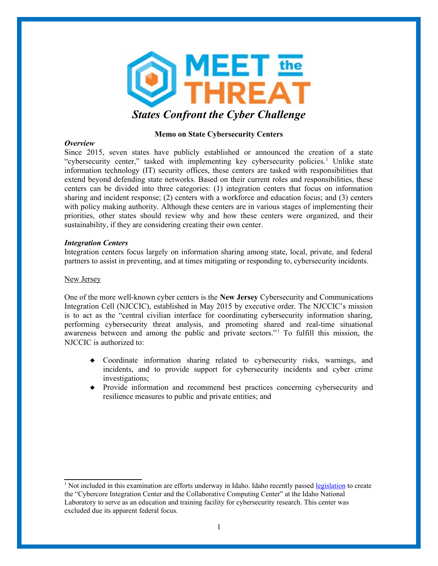

# **Memo on State Cybersecurity Centers**

# *Overview*

Since 2015, seven states have publicly established or announced the creation of a state "cybersecurity center," tasked with implementing key cybersecurity policies.<sup>[1](#page-0-0)</sup> Unlike state information technology (IT) security offices, these centers are tasked with responsibilities that extend beyond defending state networks. Based on their current roles and responsibilities, these centers can be divided into three categories: (1) integration centers that focus on information sharing and incident response; (2) centers with a workforce and education focus; and (3) centers with policy making authority. Although these centers are in various stages of implementing their priorities, other states should review why and how these centers were organized, and their sustainability, if they are considering creating their own center.

## *Integration Centers*

Integration centers focus largely on information sharing among state, local, private, and federal partners to assist in preventing, and at times mitigating or responding to, cybersecurity incidents.

# New Jersey

One of the more well-known cyber centers is the **New Jersey** Cybersecurity and Communications Integration Cell (NJCCIC), established in May 2015 by executive order. The NJCCIC's mission is to act as the "central civilian interface for coordinating cybersecurity information sharing, performing cybersecurity threat analysis, and promoting shared and real-time situational awareness between and among the public and private sectors."<sup>1</sup> To fulfill this mission, the NJCCIC is authorized to:

- Coordinate information sharing related to cybersecurity risks, warnings, and incidents, and to provide support for cybersecurity incidents and cyber crime investigations;
- Provide information and recommend best practices concerning cybersecurity and resilience measures to public and private entities; and

<span id="page-0-0"></span><sup>&</sup>lt;sup>1</sup> Not included in this examination are efforts underway in Idaho. Idaho recently passed [legislation](https://legislature.idaho.gov/wp-content/uploads/sessioninfo/2017/legislation/SCR105.pdf) to create the "Cybercore Integration Center and the Collaborative Computing Center" at the Idaho National Laboratory to serve as an education and training facility for cybersecurity research. This center was excluded due its apparent federal focus.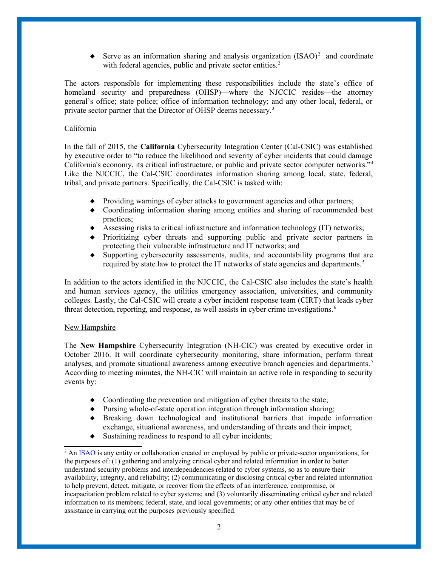Serve as an information sharing and analysis organization  $(ISAO)^2$  $(ISAO)^2$  and coordinate with federal agencies, public and private sector entities.<sup>2</sup>

The actors responsible for implementing these responsibilities include the state's office of homeland security and preparedness (OHSP)—where the NJCCIC resides—the attorney general's office; state police; office of information technology; and any other local, federal, or private sector partner that the Director of OHSP deems necessary.<sup>3</sup>

# California

In the fall of 2015, the **California** Cybersecurity Integration Center (Cal-CSIC) was established by executive order to "to reduce the likelihood and severity of cyber incidents that could damage California's economy, its critical infrastructure, or public and private sector computer networks."<sup>4</sup> Like the NJCCIC, the Cal-CSIC coordinates information sharing among local, state, federal, tribal, and private partners. Specifically, the Cal-CSIC is tasked with:

- Providing warnings of cyber attacks to government agencies and other partners;
- Coordinating information sharing among entities and sharing of recommended best practices;
- Assessing risks to critical infrastructure and information technology (IT) networks;
- Prioritizing cyber threats and supporting public and private sector partners in protecting their vulnerable infrastructure and IT networks; and
- Supporting cybersecurity assessments, audits, and accountability programs that are required by state law to protect the IT networks of state agencies and departments.<sup>5</sup>

In addition to the actors identified in the NJCCIC, the Cal-CSIC also includes the state's health and human services agency, the utilities emergency association, universities, and community colleges. Lastly, the Cal-CSIC will create a cyber incident response team (CIRT) that leads cyber threat detection, reporting, and response, as well assists in cyber crime investigations.<sup>6</sup>

## New Hampshire

The **New Hampshire** Cybersecurity Integration (NH-CIC) was created by executive order in October 2016. It will coordinate cybersecurity monitoring, share information, perform threat analyses, and promote situational awareness among executive branch agencies and departments. <sup>7</sup> According to meeting minutes, the NH-CIC will maintain an active role in responding to security events by:

- $\bullet$  Coordinating the prevention and mitigation of cyber threats to the state;
- Pursing whole-of-state operation integration through information sharing;
- Breaking down technological and institutional barriers that impede information exchange, situational awareness, and understanding of threats and their impact;
- $\bullet$  Sustaining readiness to respond to all cyber incidents;

<span id="page-1-0"></span><sup>&</sup>lt;sup>2</sup> An [ISAO](https://www.isao.org/faq/) is any entity or collaboration created or employed by public or private-sector organizations, for the purposes of: (1) gathering and analyzing critical cyber and related information in order to better understand security problems and interdependencies related to cyber systems, so as to ensure their availability, integrity, and reliability; (2) communicating or disclosing critical cyber and related information to help prevent, detect, mitigate, or recover from the effects of an interference, compromise, or incapacitation problem related to cyber systems; and (3) voluntarily disseminating critical cyber and related information to its members; federal, state, and local governments; or any other entities that may be of assistance in carrying out the purposes previously specified.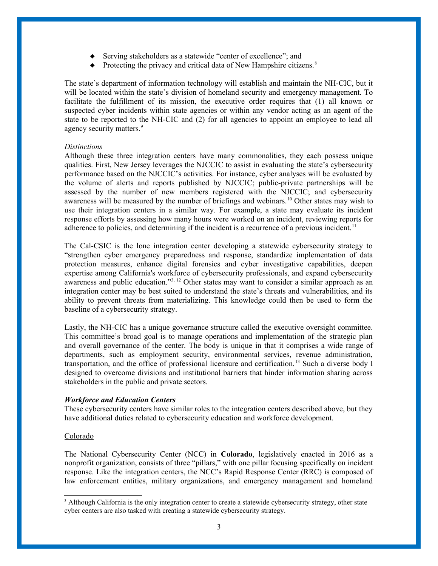- Serving stakeholders as a statewide "center of excellence"; and
- $\bullet$  Protecting the privacy and critical data of New Hampshire citizens.<sup>8</sup>

The state's department of information technology will establish and maintain the NH-CIC, but it will be located within the state's division of homeland security and emergency management. To facilitate the fulfillment of its mission, the executive order requires that (1) all known or suspected cyber incidents within state agencies or within any vendor acting as an agent of the state to be reported to the NH-CIC and (2) for all agencies to appoint an employee to lead all agency security matters.<sup>9</sup>

### *Distinctions*

Although these three integration centers have many commonalities, they each possess unique qualities. First, New Jersey leverages the NJCCIC to assist in evaluating the state's cybersecurity performance based on the NJCCIC's activities. For instance, cyber analyses will be evaluated by the volume of alerts and reports published by NJCCIC; public-private partnerships will be assessed by the number of new members registered with the NJCCIC; and cybersecurity awareness will be measured by the number of briefings and webinars.<sup>10</sup> Other states may wish to use their integration centers in a similar way. For example, a state may evaluate its incident response efforts by assessing how many hours were worked on an incident, reviewing reports for adherence to policies, and determining if the incident is a recurrence of a previous incident.<sup>11</sup>

The Cal-CSIC is the lone integration center developing a statewide cybersecurity strategy to "strengthen cyber emergency preparedness and response, standardize implementation of data protection measures, enhance digital forensics and cyber investigative capabilities, deepen expertise among California's workforce of cybersecurity professionals, and expand cybersecurity awareness and public education."<sup>[3,](#page-2-0) 12</sup> Other states may want to consider a similar approach as an integration center may be best suited to understand the state's threats and vulnerabilities, and its ability to prevent threats from materializing. This knowledge could then be used to form the baseline of a cybersecurity strategy.

Lastly, the NH-CIC has a unique governance structure called the executive oversight committee. This committee's broad goal is to manage operations and implementation of the strategic plan and overall governance of the center. The body is unique in that it comprises a wide range of departments, such as employment security, environmental services, revenue administration, transportation, and the office of professional licensure and certification. <sup>13</sup> Such a diverse body I designed to overcome divisions and institutional barriers that hinder information sharing across stakeholders in the public and private sectors.

## *Workforce and Education Centers*

These cybersecurity centers have similar roles to the integration centers described above, but they have additional duties related to cybersecurity education and workforce development.

### Colorado

The National Cybersecurity Center (NCC) in **Colorado**, legislatively enacted in 2016 as a nonprofit organization, consists of three "pillars," with one pillar focusing specifically on incident response. Like the integration centers, the NCC's Rapid Response Center (RRC) is composed of law enforcement entities, military organizations, and emergency management and homeland

<span id="page-2-0"></span><sup>&</sup>lt;sup>3</sup> Although California is the only integration center to create a statewide cybersecurity strategy, other state cyber centers are also tasked with creating a statewide cybersecurity strategy.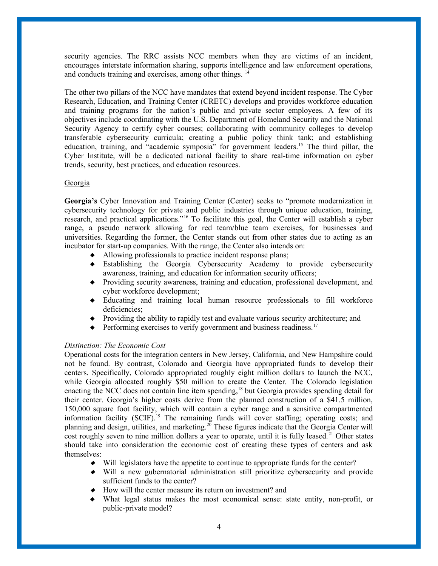security agencies. The RRC assists NCC members when they are victims of an incident, encourages interstate information sharing, supports intelligence and law enforcement operations, and conducts training and exercises, among other things. <sup>14</sup>

The other two pillars of the NCC have mandates that extend beyond incident response. The Cyber Research, Education, and Training Center (CRETC) develops and provides workforce education and training programs for the nation's public and private sector employees. A few of its objectives include coordinating with the U.S. Department of Homeland Security and the National Security Agency to certify cyber courses; collaborating with community colleges to develop transferable cybersecurity curricula; creating a public policy think tank; and establishing education, training, and "academic symposia" for government leaders.<sup>15</sup> The third pillar, the Cyber Institute, will be a dedicated national facility to share real-time information on cyber trends, security, best practices, and education resources.

### Georgia

**Georgia's** Cyber Innovation and Training Center (Center) seeks to "promote modernization in cybersecurity technology for private and public industries through unique education, training, research, and practical applications."<sup>16</sup> To facilitate this goal, the Center will establish a cyber range, a pseudo network allowing for red team/blue team exercises, for businesses and universities. Regarding the former, the Center stands out from other states due to acting as an incubator for start-up companies. With the range, the Center also intends on:

- Allowing professionals to practice incident response plans;
- Establishing the Georgia Cybersecurity Academy to provide cybersecurity awareness, training, and education for information security officers;
- Providing security awareness, training and education, professional development, and cyber workforce development;
- Educating and training local human resource professionals to fill workforce deficiencies;
- Providing the ability to rapidly test and evaluate various security architecture; and
- $\blacklozenge$  Performing exercises to verify government and business readiness.<sup>17</sup>

## *Distinction: The Economic Cost*

Operational costs for the integration centers in New Jersey, California, and New Hampshire could not be found. By contrast, Colorado and Georgia have appropriated funds to develop their centers. Specifically, Colorado appropriated roughly eight million dollars to launch the NCC, while Georgia allocated roughly \$50 million to create the Center. The Colorado legislation enacting the NCC does not contain line item spending,<sup>18</sup> but Georgia provides spending detail for their center. Georgia's higher costs derive from the planned construction of a \$41.5 million, 150,000 square foot facility, which will contain a cyber range and a sensitive compartmented information facility  $(SCIF)$ <sup>19</sup>. The remaining funds will cover staffing; operating costs; and planning and design, utilities, and marketing.<sup>20</sup> These figures indicate that the Georgia Center will cost roughly seven to nine million dollars a year to operate, until it is fully leased.<sup>21</sup> Other states should take into consideration the economic cost of creating these types of centers and ask themselves:

- $\blacklozenge$  Will legislators have the appetite to continue to appropriate funds for the center?
- Will a new gubernatorial administration still prioritize cybersecurity and provide sufficient funds to the center?
- $\blacklozenge$  How will the center measure its return on investment? and
- What legal status makes the most economical sense: state entity, non-profit, or public-private model?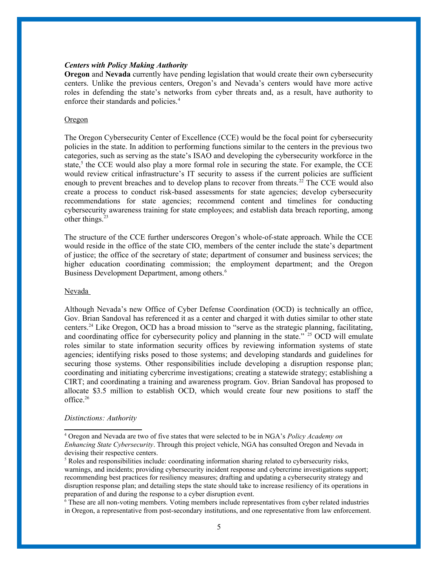#### *Centers with Policy Making Authority*

**Oregon** and **Nevada** currently have pending legislation that would create their own cybersecurity centers. Unlike the previous centers, Oregon's and Nevada's centers would have more active roles in defending the state's networks from cyber threats and, as a result, have authority to enforce their standards and policies.<sup>[4](#page-4-0)</sup>

### **Oregon**

The Oregon Cybersecurity Center of Excellence (CCE) would be the focal point for cybersecurity policies in the state. In addition to performing functions similar to the centers in the previous two categories, such as serving as the state's ISAO and developing the cybersecurity workforce in the state,<sup>[5](#page-4-1)</sup> the CCE would also play a more formal role in securing the state. For example, the CCE would review critical infrastructure's IT security to assess if the current policies are sufficient enough to prevent breaches and to develop plans to recover from threats.<sup>22</sup> The CCE would also create a process to conduct risk-based assessments for state agencies; develop cybersecurity recommendations for state agencies; recommend content and timelines for conducting cybersecurity awareness training for state employees; and establish data breach reporting, among other things. $23$ 

The structure of the CCE further underscores Oregon's whole-of-state approach. While the CCE would reside in the office of the state CIO, members of the center include the state's department of justice; the office of the secretary of state; department of consumer and business services; the higher education coordinating commission; the employment department; and the Oregon Business Development Department, among others.<sup>[6](#page-4-2)</sup>

### Nevada

Although Nevada's new Office of Cyber Defense Coordination (OCD) is technically an office, Gov. Brian Sandoval has referenced it as a center and charged it with duties similar to other state centers.<sup>24</sup> Like Oregon, OCD has a broad mission to "serve as the strategic planning, facilitating, and coordinating office for cybersecurity policy and planning in the state."  $25$  OCD will emulate roles similar to state information security offices by reviewing information systems of state agencies; identifying risks posed to those systems; and developing standards and guidelines for securing those systems. Other responsibilities include developing a disruption response plan; coordinating and initiating cybercrime investigations; creating a statewide strategy; establishing a CIRT; and coordinating a training and awareness program. Gov. Brian Sandoval has proposed to allocate \$3.5 million to establish OCD, which would create four new positions to staff the office.<sup>26</sup>

#### *Distinctions: Authority*

<span id="page-4-0"></span><sup>4</sup> Oregon and Nevada are two of five states that were selected to be in NGA's *Policy Academy on Enhancing State Cybersecurity*. Through this project vehicle, NGA has consulted Oregon and Nevada in devising their respective centers.

<span id="page-4-1"></span><sup>&</sup>lt;sup>5</sup> Roles and responsibilities include: coordinating information sharing related to cybersecurity risks, warnings, and incidents; providing cybersecurity incident response and cybercrime investigations support; recommending best practices for resiliency measures; drafting and updating a cybersecurity strategy and disruption response plan; and detailing steps the state should take to increase resiliency of its operations in preparation of and during the response to a cyber disruption event.

<span id="page-4-2"></span><sup>6</sup> These are all non-voting members. Voting members include representatives from cyber related industries in Oregon, a representative from post-secondary institutions, and one representative from law enforcement.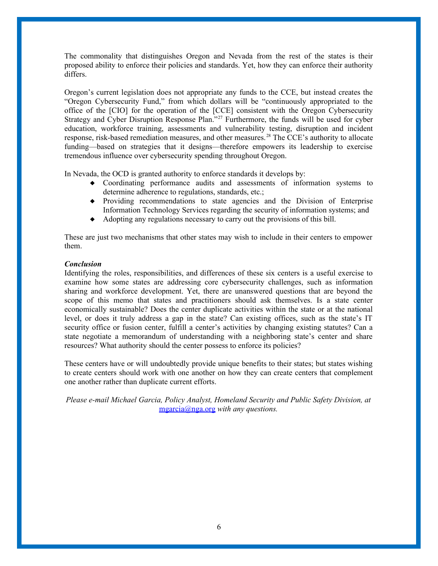The commonality that distinguishes Oregon and Nevada from the rest of the states is their proposed ability to enforce their policies and standards. Yet, how they can enforce their authority differs.

Oregon's current legislation does not appropriate any funds to the CCE, but instead creates the "Oregon Cybersecurity Fund," from which dollars will be "continuously appropriated to the office of the [CIO] for the operation of the [CCE] consistent with the Oregon Cybersecurity Strategy and Cyber Disruption Response Plan."<sup>27</sup> Furthermore, the funds will be used for cyber education, workforce training, assessments and vulnerability testing, disruption and incident response, risk-based remediation measures, and other measures. <sup>28</sup> The CCE's authority to allocate funding—based on strategies that it designs—therefore empowers its leadership to exercise tremendous influence over cybersecurity spending throughout Oregon.

In Nevada, the OCD is granted authority to enforce standards it develops by:

- Coordinating performance audits and assessments of information systems to determine adherence to regulations, standards, etc.;
- Providing recommendations to state agencies and the Division of Enterprise Information Technology Services regarding the security of information systems; and
- Adopting any regulations necessary to carry out the provisions of this bill.

These are just two mechanisms that other states may wish to include in their centers to empower them.

# *Conclusion*

Identifying the roles, responsibilities, and differences of these six centers is a useful exercise to examine how some states are addressing core cybersecurity challenges, such as information sharing and workforce development. Yet, there are unanswered questions that are beyond the scope of this memo that states and practitioners should ask themselves. Is a state center economically sustainable? Does the center duplicate activities within the state or at the national level, or does it truly address a gap in the state? Can existing offices, such as the state's IT security office or fusion center, fulfill a center's activities by changing existing statutes? Can a state negotiate a memorandum of understanding with a neighboring state's center and share resources? What authority should the center possess to enforce its policies?

These centers have or will undoubtedly provide unique benefits to their states; but states wishing to create centers should work with one another on how they can create centers that complement one another rather than duplicate current efforts.

*Please e-mail Michael Garcia, Policy Analyst, Homeland Security and Public Safety Division, at* [mgarcia@nga.org](mailto:mgarcia@nga.org) *with any questions.*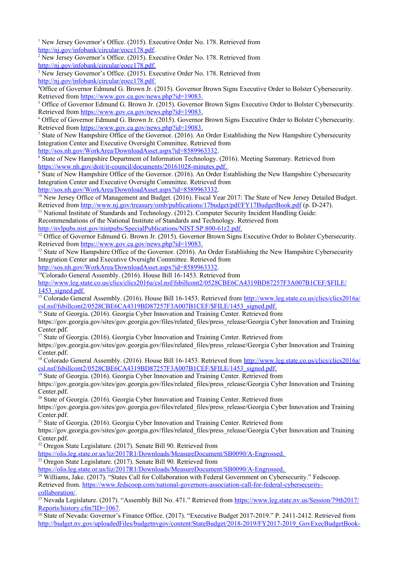<sup>1</sup> New Jersey Governor's Office. (2015). Executive Order No. 178. Retrieved from [http://nj.gov/infobank/circular/eocc178.pdf.](http://nj.gov/infobank/circular/eocc178.pdf)

<sup>2</sup> New Jersey Governor's Office. (2015). Executive Order No. 178. Retrieved from  [http://nj.gov/infobank/circular/eocc178.pdf.](http://nj.gov/infobank/circular/eocc178.pdf)

<sup>3</sup> New Jersey Governor's Office. (2015). Executive Order No. 178. Retrieved from  [http://nj.gov/infobank/circular/eocc178.pdf.](http://nj.gov/infobank/circular/eocc178.pdf)

<sup>4</sup>Office of Governor Edmund G. Brown Jr. (2015). Governor Brown Signs Executive Order to Bolster Cybersecurity. Retrieved from [https://www.gov.ca.gov/news.php?id=19083.](https://www.gov.ca.gov/news.php?id=19083)

<sup>5</sup> Office of Governor Edmund G. Brown Jr. (2015). Governor Brown Signs Executive Order to Bolster Cybersecurity. Retrieved from [https://www.gov.ca.gov/news.php?id=19083.](https://www.gov.ca.gov/news.php?id=19083)

6 Office of Governor Edmund G. Brown Jr. (2015). Governor Brown Signs Executive Order to Bolster Cybersecurity. Retrieved from [https://www.gov.ca.gov/news.php?id=19083.](https://www.gov.ca.gov/news.php?id=19083)

<sup>7</sup> State of New Hampshire Office of the Governor. (2016). An Order Establishing the New Hampshire Cybersecurity Integration Center and Executive Oversight Committee. Retrieved from

[http://sos.nh.gov/WorkArea/DownloadAsset.aspx?id=8589963332.](http://sos.nh.gov/WorkArea/DownloadAsset.aspx?id=8589963332)

<sup>8</sup> State of New Hampshire Department of Information Technology. (2016). Meeting Summary. Retrieved from https://www.nh.gov/doit/it-council/documents/20161028-minutes.pdf.

<sup>9</sup> State of New Hampshire Office of the Governor. (2016). An Order Establishing the New Hampshire Cybersecurity Integration Center and Executive Oversight Committee. Retrieved from

[http://sos.nh.gov/WorkArea/DownloadAsset.aspx?id=8589963332.](http://sos.nh.gov/WorkArea/DownloadAsset.aspx?id=8589963332)

<sup>10</sup> New Jersey Office of Management and Budget. (2016). Fiscal Year 2017: The State of New Jersey Detailed Budget. Retrieved from<http://www.nj.gov/treasury/omb/publications/17budget/pdf/FY17BudgetBook.pdf>(p. D-247).

<sup>11</sup> National Institute of Standards and Technology. (2012). Computer Security Incident Handling Guide:

Recommendations of the National Institute of Standards and Technology. Retrieved from <http://nvlpubs.nist.gov/nistpubs/SpecialPublications/NIST.SP.800-61r2.pdf>.

<sup>12</sup> Office of Governor Edmund G. Brown Jr. (2015). Governor Brown Signs Executive Order to Bolster Cybersecurity. Retrieved from [https://www.gov.ca.gov/news.php?id=19083.](https://www.gov.ca.gov/news.php?id=19083)

<sup>13</sup> State of New Hampshire Office of the Governor. (2016). An Order Establishing the New Hampshire Cybersecurity Integration Center and Executive Oversight Committee. Retrieved from

[http://sos.nh.gov/WorkArea/DownloadAsset.aspx?id=8589963332.](http://sos.nh.gov/WorkArea/DownloadAsset.aspx?id=8589963332)

<sup>14</sup>Colorado General Assembly. (2016). House Bill 16-1453. Retrieved from

[http://www.leg.state.co.us/clics/clics2016a/csl.nsf/fsbillcont2/0528CBE6CA4319BD87257F3A007B1CEF/\\$FILE/](http://www.leg.state.co.us/clics/clics2016a/csl.nsf/fsbillcont2/0528CBE6CA4319BD87257F3A007B1CEF/$FILE/1453_signed.pdf) 1453 signed.pdf.

<sup>15</sup> Colorado General Assembly. (2016). House Bill 16-1453. Retrieved from [http://www.leg.state.co.us/clics/clics2016a/](http://www.leg.state.co.us/clics/clics2016a/csl.nsf/fsbillcont2/0528CBE6CA4319BD87257F3A007B1CEF/$FILE/1453_signed.pdf)  [csl.nsf/fsbillcont2/0528CBE6CA4319BD87257F3A007B1CEF/\\$FILE/1453\\_signed.pdf.](http://www.leg.state.co.us/clics/clics2016a/csl.nsf/fsbillcont2/0528CBE6CA4319BD87257F3A007B1CEF/$FILE/1453_signed.pdf)

<sup>16</sup> State of Georgia. (2016). Georgia Cyber Innovation and Training Center. Retrieved from

https://gov.georgia.gov/sites/gov.georgia.gov/files/related\_files/press\_release/Georgia Cyber Innovation and Training Center.pdf.

<sup>17</sup> State of Georgia. (2016). Georgia Cyber Innovation and Training Center. Retrieved from

https://gov.georgia.gov/sites/gov.georgia.gov/files/related\_files/press\_release/Georgia Cyber Innovation and Training Center.pdf.

<sup>18</sup> Colorado General Assembly. (2016). House Bill 16-1453. Retrieved from [http://www.leg.state.co.us/clics/clics2016a/](http://www.leg.state.co.us/clics/clics2016a/csl.nsf/fsbillcont2/0528CBE6CA4319BD87257F3A007B1CEF/$FILE/1453_signed.pdf)  [csl.nsf/fsbillcont2/0528CBE6CA4319BD87257F3A007B1CEF/\\$FILE/1453\\_signed.pdf.](http://www.leg.state.co.us/clics/clics2016a/csl.nsf/fsbillcont2/0528CBE6CA4319BD87257F3A007B1CEF/$FILE/1453_signed.pdf)

<sup>19</sup> State of Georgia. (2016). Georgia Cyber Innovation and Training Center. Retrieved from

https://gov.georgia.gov/sites/gov.georgia.gov/files/related\_files/press\_release/Georgia Cyber Innovation and Training Center.pdf.

<sup>20</sup> State of Georgia. (2016). Georgia Cyber Innovation and Training Center. Retrieved from

https://gov.georgia.gov/sites/gov.georgia.gov/files/related\_files/press\_release/Georgia Cyber Innovation and Training Center.pdf.

<sup>21</sup> State of Georgia. (2016). Georgia Cyber Innovation and Training Center. Retrieved from https://gov.georgia.gov/sites/gov.georgia.gov/files/related\_files/press\_release/Georgia Cyber Innovation and Training Center.pdf.

 $22$  Oregon State Legislature. (2017). Senate Bill 90. Retrieved from

<https://olis.leg.state.or.us/liz/2017R1/Downloads/MeasureDocument/SB0090/A-Engrossed> .

 $23$  Oregon State Legislature. (2017). Senate Bill 90. Retrieved from

<https://olis.leg.state.or.us/liz/2017R1/Downloads/MeasureDocument/SB0090/A-Engrossed> .

<sup>24</sup> Williams, Jake. (2017). "States Call for Collaboration with Federal Government on Cybersecurity." Fedscoop. Retrieved from. [https://www.fedscoop.com/national-governors-association-call-for-federal-cybersecurity](https://www.fedscoop.com/national-governors-association-call-for-federal-cybersecurity-collaboration/)[collaboration/](https://www.fedscoop.com/national-governors-association-call-for-federal-cybersecurity-collaboration/).

<sup>25</sup> Nevada Legislature. (2017). "Assembly Bill No. 471." Retrieved from [https://www.leg.state.nv.us/Session/79th2017/](https://www.leg.state.nv.us/Session/79th2017/Reports/history.cfm?ID=1067) [Reports/history.cfm?ID=1067](https://www.leg.state.nv.us/Session/79th2017/Reports/history.cfm?ID=1067).

<sup>26</sup> State of Nevada: Governor's Finance Office. (2017). "Executive Budget 2017-2019." P. 2411-2412. Retrieved from [http://budget.nv.gov/uploadedFiles/budgetnvgov/content/StateBudget/2018-2019/FY2017-2019\\_GovExecBudgetBook-](http://budget.nv.gov/uploadedFiles/budgetnvgov/content/StateBudget/2018-2019/FY2017-2019_GovExecBudgetBook-Online.pdf)